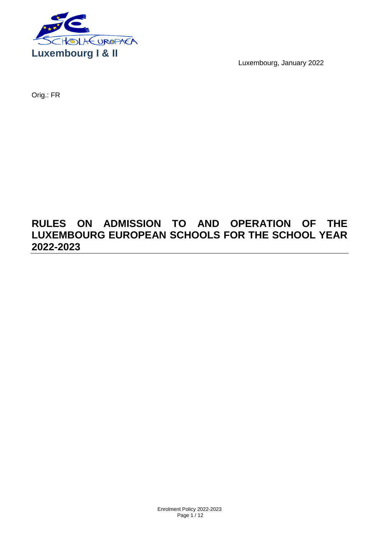

Luxembourg, January 2022

Orig.: FR

# **RULES ON ADMISSION TO AND OPERATION OF THE LUXEMBOURG EUROPEAN SCHOOLS FOR THE SCHOOL YEAR 2022-2023**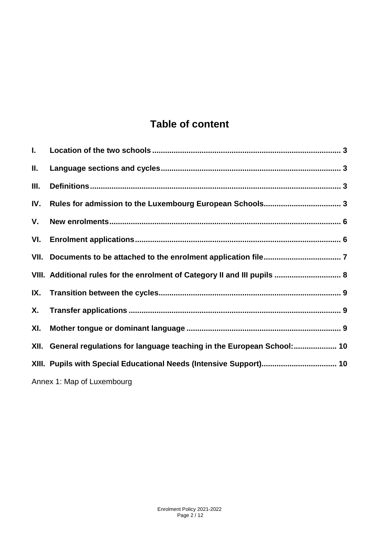# **Table of content**

| L.   |                                                                           |
|------|---------------------------------------------------------------------------|
| Ш.   |                                                                           |
| III. |                                                                           |
| IV.  |                                                                           |
| V.   |                                                                           |
| VI.  |                                                                           |
| VII. |                                                                           |
|      | VIII. Additional rules for the enrolment of Category II and III pupils  8 |
| IX.  |                                                                           |
| Х.   |                                                                           |
| XI.  |                                                                           |
|      | XII. General regulations for language teaching in the European School: 10 |
|      | XIII. Pupils with Special Educational Needs (Intensive Support) 10        |
|      | Annex 1: Map of Luxembourg                                                |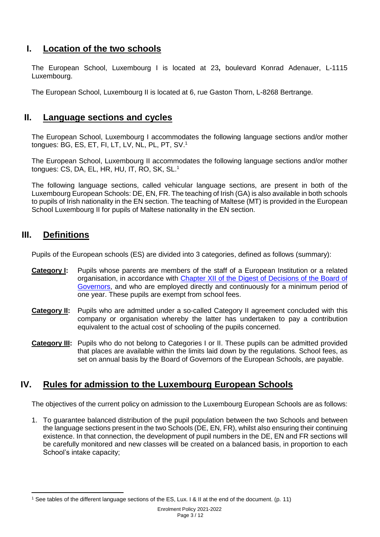# <span id="page-2-0"></span>**I. Location of the two schools**

The European School, Luxembourg I is located at 23**,** boulevard Konrad Adenauer, L-1115 Luxembourg.

The European School, Luxembourg II is located at 6, rue Gaston Thorn, L-8268 Bertrange.

#### <span id="page-2-1"></span>**II. Language sections and cycles**

The European School, Luxembourg I accommodates the following language sections and/or mother tongues: BG, ES, ET, FI, LT, LV, NL, PL, PT, SV.<sup>1</sup>

The European School, Luxembourg II accommodates the following language sections and/or mother tongues: CS, DA, EL, HR, HU, IT, RO, SK, SL. 1

The following language sections, called vehicular language sections, are present in both of the Luxembourg European Schools: DE, EN, FR. The teaching of Irish (GA) is also available in both schools to pupils of Irish nationality in the EN section. The teaching of Maltese (MT) is provided in the European School Luxembourg II for pupils of Maltese nationality in the EN section.

## <span id="page-2-2"></span>**III. Definitions**

Pupils of the European schools (ES) are divided into 3 categories, defined as follows (summary):

- **Category I:** Pupils whose parents are members of the staff of a European Institution or a related organisation, in accordance with Chapter XII of the [Digest of Decisions of the Board of](https://www.eursc.eu/Documents/2014-02-D-14-en-3.pdf#search=chapter%20XII%20Board%20of%20governors)  [Governors,](https://www.eursc.eu/Documents/2014-02-D-14-en-3.pdf#search=chapter%20XII%20Board%20of%20governors) and who are employed directly and continuously for a minimum period of one year. These pupils are exempt from school fees.
- **Category II:** Pupils who are admitted under a so-called Category II agreement concluded with this company or organisation whereby the latter has undertaken to pay a contribution equivalent to the actual cost of schooling of the pupils concerned.
- **Category III:** Pupils who do not belong to Categories I or II. These pupils can be admitted provided that places are available within the limits laid down by the regulations. School fees, as set on annual basis by the Board of Governors of the European Schools, are payable.

# <span id="page-2-3"></span>**IV. Rules for admission to the Luxembourg European Schools**

The objectives of the current policy on admission to the Luxembourg European Schools are as follows:

1. To guarantee balanced distribution of the pupil population between the two Schools and between the language sections present in the two Schools (DE, EN, FR), whilst also ensuring their continuing existence. In that connection, the development of pupil numbers in the DE, EN and FR sections will be carefully monitored and new classes will be created on a balanced basis, in proportion to each School's intake capacity;

 $\overline{a}$ <sup>1</sup> See tables of the different language sections of the ES, Lux. I & II at the end of the document. (p. 11)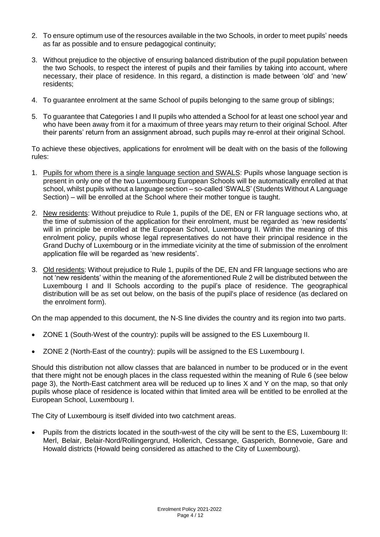- 2. To ensure optimum use of the resources available in the two Schools, in order to meet pupils' needs as far as possible and to ensure pedagogical continuity;
- 3. Without prejudice to the objective of ensuring balanced distribution of the pupil population between the two Schools, to respect the interest of pupils and their families by taking into account, where necessary, their place of residence. In this regard, a distinction is made between 'old' and 'new' residents;
- 4. To guarantee enrolment at the same School of pupils belonging to the same group of siblings;
- 5. To guarantee that Categories I and II pupils who attended a School for at least one school year and who have been away from it for a maximum of three years may return to their original School. After their parents' return from an assignment abroad, such pupils may re-enrol at their original School.

To achieve these objectives, applications for enrolment will be dealt with on the basis of the following rules:

- 1. Pupils for whom there is a single language section and SWALS: Pupils whose language section is present in only one of the two Luxembourg European Schools will be automatically enrolled at that school, whilst pupils without a language section – so-called 'SWALS' (Students Without A Language Section) – will be enrolled at the School where their mother tongue is taught.
- 2. New residents: Without prejudice to Rule 1, pupils of the DE, EN or FR language sections who, at the time of submission of the application for their enrolment, must be regarded as 'new residents' will in principle be enrolled at the European School, Luxembourg II. Within the meaning of this enrolment policy, pupils whose legal representatives do not have their principal residence in the Grand Duchy of Luxembourg or in the immediate vicinity at the time of submission of the enrolment application file will be regarded as 'new residents'.
- 3. Old residents: Without prejudice to Rule 1, pupils of the DE, EN and FR language sections who are not 'new residents' within the meaning of the aforementioned Rule 2 will be distributed between the Luxembourg I and II Schools according to the pupil's place of residence. The geographical distribution will be as set out below, on the basis of the pupil's place of residence (as declared on the enrolment form).

On the map appended to this document, the N-S line divides the country and its region into two parts.

- ZONE 1 (South-West of the country): pupils will be assigned to the ES Luxembourg II.
- ZONE 2 (North-East of the country): pupils will be assigned to the ES Luxembourg I.

Should this distribution not allow classes that are balanced in number to be produced or in the event that there might not be enough places in the class requested within the meaning of Rule 6 (see below page 3), the North-East catchment area will be reduced up to lines X and Y on the map, so that only pupils whose place of residence is located within that limited area will be entitled to be enrolled at the European School, Luxembourg I.

The City of Luxembourg is itself divided into two catchment areas.

• Pupils from the districts located in the south-west of the city will be sent to the ES, Luxembourg II: Merl, Belair, Belair-Nord/Rollingergrund, Hollerich, Cessange, Gasperich, Bonnevoie, Gare and Howald districts (Howald being considered as attached to the City of Luxembourg).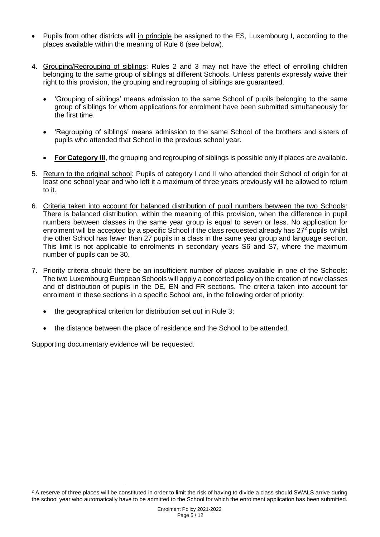- Pupils from other districts will in principle be assigned to the ES, Luxembourg I, according to the places available within the meaning of Rule 6 (see below).
- 4. Grouping/Regrouping of siblings: Rules 2 and 3 may not have the effect of enrolling children belonging to the same group of siblings at different Schools. Unless parents expressly waive their right to this provision, the grouping and regrouping of siblings are guaranteed.
	- 'Grouping of siblings' means admission to the same School of pupils belonging to the same group of siblings for whom applications for enrolment have been submitted simultaneously for the first time.
	- 'Regrouping of siblings' means admission to the same School of the brothers and sisters of pupils who attended that School in the previous school year.
	- **For Category III**, the grouping and regrouping of siblings is possible only if places are available.
- 5. Return to the original school: Pupils of category I and II who attended their School of origin for at least one school year and who left it a maximum of three years previously will be allowed to return to it.
- 6. Criteria taken into account for balanced distribution of pupil numbers between the two Schools: There is balanced distribution, within the meaning of this provision, when the difference in pupil numbers between classes in the same year group is equal to seven or less. No application for enrolment will be accepted by a specific School if the class requested already has 27<sup>2</sup> pupils whilst the other School has fewer than 27 pupils in a class in the same year group and language section. This limit is not applicable to enrolments in secondary years S6 and S7, where the maximum number of pupils can be 30.
- 7. Priority criteria should there be an insufficient number of places available in one of the Schools: The two Luxembourg European Schools will apply a concerted policy on the creation of new classes and of distribution of pupils in the DE, EN and FR sections. The criteria taken into account for enrolment in these sections in a specific School are, in the following order of priority:
	- the geographical criterion for distribution set out in Rule 3;
	- the distance between the place of residence and the School to be attended.

Supporting documentary evidence will be requested.

 $\overline{a}$ 

 $2$  A reserve of three places will be constituted in order to limit the risk of having to divide a class should SWALS arrive during the school year who automatically have to be admitted to the School for which the enrolment application has been submitted.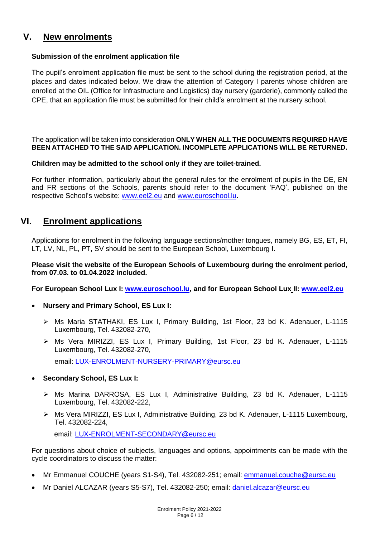# <span id="page-5-0"></span>**V. New enrolments**

#### **Submission of the enrolment application file**

The pupil's enrolment application file must be sent to the school during the registration period, at the places and dates indicated below. We draw the attention of Category I parents whose children are enrolled at the OIL (Office for Infrastructure and Logistics) day nursery (garderie), commonly called the CPE, that an application file must be submitted for their child's enrolment at the nursery school.

The application will be taken into consideration **ONLY WHEN ALL THE DOCUMENTS REQUIRED HAVE BEEN ATTACHED TO THE SAID APPLICATION. INCOMPLETE APPLICATIONS WILL BE RETURNED.**

#### **Children may be admitted to the school only if they are toilet-trained.**

For further information, particularly about the general rules for the enrolment of pupils in the DE, EN and FR sections of the Schools, parents should refer to the document 'FAQ', published on the respective School's website: [www.eel2.eu](http://www.eel2.eu/) and [www.euroschool.lu.](http://www.euroschool.lu/)

## <span id="page-5-1"></span>**VI. Enrolment applications**

Applications for enrolment in the following language sections/mother tongues, namely BG, ES, ET, FI, LT, LV, NL, PL, PT, SV should be sent to the European School, Luxembourg I.

#### **Please visit the website of the European Schools of Luxembourg during the enrolment period, from 07.03. to 01.04.2022 included.**

**For European School Lux I: [www.euroschool.lu,](http://www.euroschool.lu/) and for European School Lux II: [www.eel2.eu](http://www.eel2.eu/)**

- **Nursery and Primary School, ES Lux I:** 
	- ➢ Ms Maria STATHAKI, ES Lux I, Primary Building, 1st Floor, 23 bd K. Adenauer, L-1115 Luxembourg, Tel. 432082-270,
	- ➢ Ms Vera MIRIZZI, ES Lux I, Primary Building, 1st Floor, 23 bd K. Adenauer, L-1115 Luxembourg, Tel. 432082-270, email: [LUX-ENROLMENT-NURSERY-PRIMARY@eursc.eu](mailto:LUX-ENROLMENT-NURSERY-PRIMARY@eursc.eu)
- **Secondary School, ES Lux I:** 
	- ➢ Ms Marina DARROSA, ES Lux I, Administrative Building, 23 bd K. Adenauer, L-1115 Luxembourg, Tel. 432082-222,
	- ➢ Ms Vera MIRIZZI, ES Lux I, Administrative Building, 23 bd K. Adenauer, L-1115 Luxembourg, Tel. 432082-224,

email: [LUX-ENROLMENT-SECONDARY@eursc.eu](mailto:LUX-ENROLMENT-SECONDARY@eursc.eu)

For questions about choice of subjects, languages and options, appointments can be made with the cycle coordinators to discuss the matter:

- Mr Emmanuel COUCHE (years S1-S4), Tel. 432082-251; email: [emmanuel.couche@eursc.eu](mailto:emmanuel.couche@eursc.eu)
- Mr Daniel ALCAZAR (years S5-S7), Tel. 432082-250; email: [daniel.alcazar@eursc.eu](mailto:daniel.alcazar@eursc.org)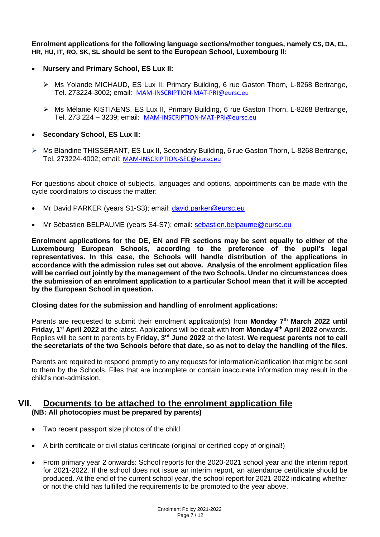**Enrolment applications for the following language sections/mother tongues, namely CS, DA, EL, HR, HU, IT, RO, SK, SL should be sent to the European School, Luxembourg II:**

- **Nursery and Primary School, ES Lux II:**
	- ➢ Ms Yolande MICHAUD, ES Lux II, Primary Building, 6 rue Gaston Thorn, L-8268 Bertrange, Tel. 273224-3002; email: [MAM-INSCRIPTION-MAT-PRI@eursc.eu](mailto:MAM-INSCRIPTION-MAT-PRI@eursc.eu)
	- ➢ Ms Mélanie KISTIAENS, ES Lux II, Primary Building, 6 rue Gaston Thorn, L-8268 Bertrange, Tel. 273 224 – 3239; email: [MAM-INSCRIPTION-MAT-PRI@eursc.eu](mailto:MAM-INSCRIPTION-MAT-PRI@eursc.eu)
- **Secondary School, ES Lux II:**
- ➢ Ms Blandine THISSERANT, ES Lux II, Secondary Building, 6 rue Gaston Thorn, L-8268 Bertrange, Tel. 273224-4002; email: [MAM-INSCRIPTION-SEC@eursc.eu](mailto:MAM-INSCRIPTION-SEC@eursc.eu)

For questions about choice of subjects, languages and options, appointments can be made with the cycle coordinators to discuss the matter:

- Mr David PARKER (years S1-S3); email: [david.parker@eursc.eu](mailto:gerhard.pelikan@eursc.org)
- Mr Sébastien BELPAUME (years S4-S7); email: [sebastien.belpaume@eursc.eu](mailto:sebastien.belpaume@eursc.org)

**Enrolment applications for the DE, EN and FR sections may be sent equally to either of the Luxembourg European Schools, according to the preference of the pupil's legal representatives. In this case, the Schools will handle distribution of the applications in accordance with the admission rules set out above. Analysis of the enrolment application files will be carried out jointly by the management of the two Schools. Under no circumstances does the submission of an enrolment application to a particular School mean that it will be accepted by the European School in question.**

#### **Closing dates for the submission and handling of enrolment applications:**

Parents are requested to submit their enrolment application(s) from **Monday 7 th March 2022 until Friday, 1st April 2022** at the latest. Applications will be dealt with from **Monday 4 th April 2022** onwards. Replies will be sent to parents by **Friday, 3rd June 2022** at the latest. **We request parents not to call the secretariats of the two Schools before that date, so as not to delay the handling of the files.**

Parents are required to respond promptly to any requests for information/clarification that might be sent to them by the Schools. Files that are incomplete or contain inaccurate information may result in the child's non-admission.

#### <span id="page-6-0"></span>**VII. Documents to be attached to the enrolment application file (NB: All photocopies must be prepared by parents)**

- Two recent passport size photos of the child
- A birth certificate or civil status certificate (original or certified copy of original!)
- From primary year 2 onwards: School reports for the 2020-2021 school year and the interim report for 2021-2022. If the school does not issue an interim report, an attendance certificate should be produced. At the end of the current school year, the school report for 2021-2022 indicating whether or not the child has fulfilled the requirements to be promoted to the year above.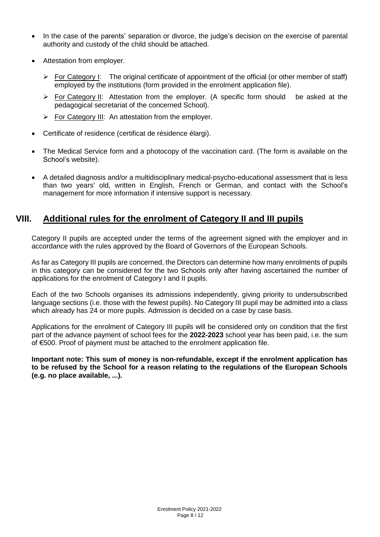- In the case of the parents' separation or divorce, the judge's decision on the exercise of parental authority and custody of the child should be attached.
- Attestation from employer.
	- ➢ For Category I: The original certificate of appointment of the official (or other member of staff) employed by the institutions (form provided in the enrolment application file).
	- ➢ For Category II: Attestation from the employer. (A specific form should be asked at the pedagogical secretariat of the concerned School).
	- ➢ For Category III: An attestation from the employer.
- Certificate of residence (certificat de résidence élargi).
- The Medical Service form and a photocopy of the vaccination card. (The form is available on the School's website).
- A detailed diagnosis and/or a multidisciplinary medical-psycho-educational assessment that is less than two years' old, written in English, French or German, and contact with the School's management for more information if intensive support is necessary.

#### <span id="page-7-0"></span>**VIII. Additional rules for the enrolment of Category II and III pupils**

Category II pupils are accepted under the terms of the agreement signed with the employer and in accordance with the rules approved by the Board of Governors of the European Schools.

As far as Category III pupils are concerned, the Directors can determine how many enrolments of pupils in this category can be considered for the two Schools only after having ascertained the number of applications for the enrolment of Category I and II pupils.

Each of the two Schools organises its admissions independently, giving priority to undersubscribed language sections (i.e. those with the fewest pupils). No Category III pupil may be admitted into a class which already has 24 or more pupils. Admission is decided on a case by case basis.

Applications for the enrolment of Category III pupils will be considered only on condition that the first part of the advance payment of school fees for the **2022-2023** school year has been paid, i.e. the sum of €500. Proof of payment must be attached to the enrolment application file.

**Important note: This sum of money is non-refundable, except if the enrolment application has to be refused by the School for a reason relating to the regulations of the European Schools (e.g. no place available, ...).**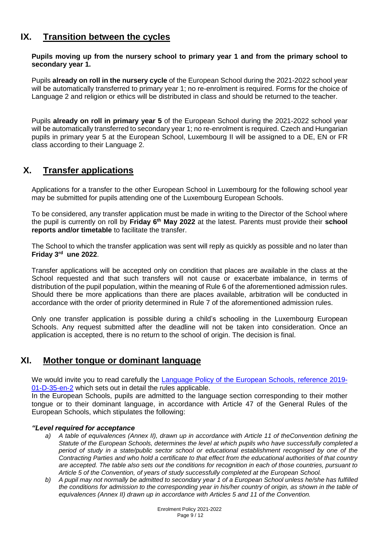### <span id="page-8-0"></span>**IX. Transition between the cycles**

#### **Pupils moving up from the nursery school to primary year 1 and from the primary school to secondary year 1.**

Pupils **already on roll in the nursery cycle** of the European School during the 2021-2022 school year will be automatically transferred to primary year 1; no re-enrolment is required. Forms for the choice of Language 2 and religion or ethics will be distributed in class and should be returned to the teacher.

Pupils **already on roll in primary year 5** of the European School during the 2021-2022 school year will be automatically transferred to secondary year 1; no re-enrolment is required. Czech and Hungarian pupils in primary year 5 at the European School, Luxembourg II will be assigned to a DE, EN or FR class according to their Language 2.

# <span id="page-8-1"></span>**X. Transfer applications**

Applications for a transfer to the other European School in Luxembourg for the following school year may be submitted for pupils attending one of the Luxembourg European Schools.

To be considered, any transfer application must be made in writing to the Director of the School where the pupil is currently on roll by **Friday 6 th May 2022** at the latest. Parents must provide their **school reports and/or timetable** to facilitate the transfer.

The School to which the transfer application was sent will reply as quickly as possible and no later than **Friday 3 rd une 2022**.

Transfer applications will be accepted only on condition that places are available in the class at the School requested and that such transfers will not cause or exacerbate imbalance, in terms of distribution of the pupil population, within the meaning of Rule 6 of the aforementioned admission rules. Should there be more applications than there are places available, arbitration will be conducted in accordance with the order of priority determined in Rule 7 of the aforementioned admission rules.

Only one transfer application is possible during a child's schooling in the Luxembourg European Schools. Any request submitted after the deadline will not be taken into consideration. Once an application is accepted, there is no return to the school of origin. The decision is final.

# <span id="page-8-2"></span>**XI. Mother tongue or dominant language**

We would invite you to read carefully the **Language Policy of the European Schools**, reference 2019-[01-D-35-en-2](https://www.eursc.eu/BasicTexts/2019-01-D-35-en-2.pdf) which sets out in detail the rules applicable.

In the European Schools, pupils are admitted to the language section corresponding to their mother tongue or to their dominant language, in accordance with Article 47 of the General Rules of the European Schools, which stipulates the following:

#### *"Level required for acceptance*

- *a) A table of equivalences (Annex II), drawn up in accordance with Article 11 of theConvention defining the Statute of the European Schools, determines the level at which pupils who have successfully completed a period of study in a state/public sector school or educational establishment recognised by one of the Contracting Parties and who hold a certificate to that effect from the educational authorities of that country are accepted. The table also sets out the conditions for recognition in each of those countries, pursuant to Article 5 of the Convention, of years of study successfully completed at the European School.*
- *b) A pupil may not normally be admitted to secondary year 1 of a European School unless he/she has fulfilled the conditions for admission to the corresponding year in his/her country of origin, as shown in the table of equivalences (Annex II) drawn up in accordance with Articles 5 and 11 of the Convention.*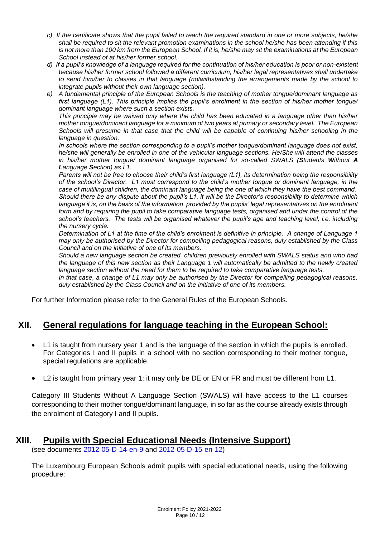- *c) If the certificate shows that the pupil failed to reach the required standard in one or more subjects, he/she shall be required to sit the relevant promotion examinations in the school he/she has been attending if this is not more than 100 km from the European School. If it is, he/she may sit the examinations at the European School instead of at his/her former school.*
- *d) If a pupil's knowledge of a language required for the continuation of his/her education is poor or non-existent because his/her former school followed a different curriculum, his/her legal representatives shall undertake to send him/her to classes in that language (notwithstanding the arrangements made by the school to integrate pupils without their own language section).*
- *e) A fundamental principle of the European Schools is the teaching of mother tongue/dominant language as first language (L1). This principle implies the pupil's enrolment in the section of his/her mother tongue/ dominant language where such a section exists.*

*This principle may be waived only where the child has been educated in a language other than his/her mother tongue/dominant language for a minimum of two years at primary or secondary level. The European Schools will presume in that case that the child will be capable of continuing his/her schooling in the language in question.* 

*In schools where the section corresponding to a pupil's mother tongue/dominant language does not exist, he/she will generally be enrolled in one of the vehicular language sections. He/She will attend the classes in his/her mother tongue/ dominant language organised for so-called SWALS (Students Without A Language Section) as L1.* 

*Parents will not be free to choose their child's first language (L1), its determination being the responsibility of the school's Director. L1 must correspond to the child's mother tongue or dominant language, in the case of multilingual children, the dominant language being the one of which they have the best command. Should there be any dispute about the pupil's L1, it will be the Director's responsibility to determine which*  language it is, on the basis of the information provided by the pupils' legal representatives on the enrolment *form and by requiring the pupil to take comparative language tests, organised and under the control of the school's teachers. The tests will be organised whatever the pupil's age and teaching level, i.e. including the nursery cycle.* 

*Determination of L1 at the time of the child's enrolment is definitive in principle. A change of Language 1 may only be authorised by the Director for compelling pedagogical reasons, duly established by the Class Council and on the initiative of one of its members.* 

*Should a new language section be created, children previously enrolled with SWALS status and who had the language of this new section as their Language 1 will automatically be admitted to the newly created language section without the need for them to be required to take comparative language tests.* 

*In that case, a change of L1 may only be authorised by the Director for compelling pedagogical reasons, duly established by the Class Council and on the initiative of one of its members.* 

For further Information please refer to the General Rules of the European Schools.

#### <span id="page-9-0"></span>**XII. General regulations for language teaching in the European School:**

- L1 is taught from nursery year 1 and is the language of the section in which the pupils is enrolled. For Categories I and II pupils in a school with no section corresponding to their mother tongue, special regulations are applicable.
- L2 is taught from primary year 1: it may only be DE or EN or FR and must be different from L1.

Category III Students Without A Language Section (SWALS) will have access to the L1 courses corresponding to their mother tongue/dominant language, in so far as the course already exists through the enrolment of Category I and II pupils.

#### **XIII. Pupils with Special Educational Needs (Intensive Support)**

<span id="page-9-1"></span>(see documents [2012-05-D-14-en-9](https://www.eursc.eu/Documents/2012-05-D-14-en-9.pdf#search=pupils%20with%20special%20educational%20needs) and [2012-05-D-15-en-12\)](https://www.eursc.eu/Documents/2012-05-D-15-en-12.pdf#search=pupils%20with%20special%20educational%20needs)

The Luxembourg European Schools admit pupils with special educational needs, using the following procedure: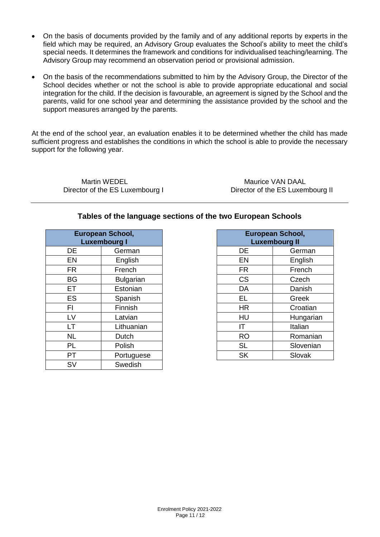- On the basis of documents provided by the family and of any additional reports by experts in the field which may be required, an Advisory Group evaluates the School's ability to meet the child's special needs. It determines the framework and conditions for individualised teaching/learning. The Advisory Group may recommend an observation period or provisional admission.
- On the basis of the recommendations submitted to him by the Advisory Group, the Director of the School decides whether or not the school is able to provide appropriate educational and social integration for the child. If the decision is favourable, an agreement is signed by the School and the parents, valid for one school year and determining the assistance provided by the school and the support measures arranged by the parents.

At the end of the school year, an evaluation enables it to be determined whether the child has made sufficient progress and establishes the conditions in which the school is able to provide the necessary support for the following year.

Martin WEDEL Maurice VAN DAAL

Director of the ES Luxembourg I Director of the ES Luxembourg II

#### **Tables of the language sections of the two European Schools**

| <b>European School,</b><br><b>Luxembourg I</b> |                  |           | European School,<br><b>Luxembourg II</b> |
|------------------------------------------------|------------------|-----------|------------------------------------------|
| DE                                             | German           | <b>DE</b> | Germa                                    |
| EN                                             | English          | <b>EN</b> | English                                  |
| FR.                                            | French           | <b>FR</b> | French                                   |
| <b>BG</b>                                      | <b>Bulgarian</b> | <b>CS</b> | Czech                                    |
| ET                                             | Estonian         | DA        | Danish                                   |
| <b>ES</b>                                      | Spanish          | EL        | Greek                                    |
| FI                                             | Finnish          | <b>HR</b> | Croatia                                  |
| LV                                             | Latvian          | HU        | Hunga                                    |
| LT                                             | Lithuanian       | ΙT        | Italian                                  |
| <b>NL</b>                                      | Dutch            | <b>RO</b> | Romar                                    |
| PL                                             | Polish           | <b>SL</b> | Sloven                                   |
| PT                                             | Portuguese       | <b>SK</b> | Slovak                                   |
| SV                                             | Swedish          |           |                                          |

| European School,         |                  | European School,     |           |
|--------------------------|------------------|----------------------|-----------|
| <b>Luxembourg I</b>      |                  | <b>Luxembourg II</b> |           |
| DE                       | German           | DE                   | German    |
| EN                       | English          | EN                   | English   |
| FR.                      | French           | <b>FR</b>            | French    |
| BG                       | <b>Bulgarian</b> | <b>CS</b>            | Czech     |
| ЕT                       | Estonian         | DA                   | Danish    |
| ES                       | Spanish          | EL                   | Greek     |
| FI                       | Finnish          | <b>HR</b>            | Croatian  |
| LV                       | Latvian          | HU                   | Hungarian |
| LT                       | Lithuanian       | IΤ                   | Italian   |
| <b>NL</b>                | Dutch            | <b>RO</b>            | Romanian  |
| PL                       | Polish           | <b>SL</b>            | Slovenian |
| $\overline{\mathsf{PT}}$ | Portuguese       | <b>SK</b>            | Slovak    |